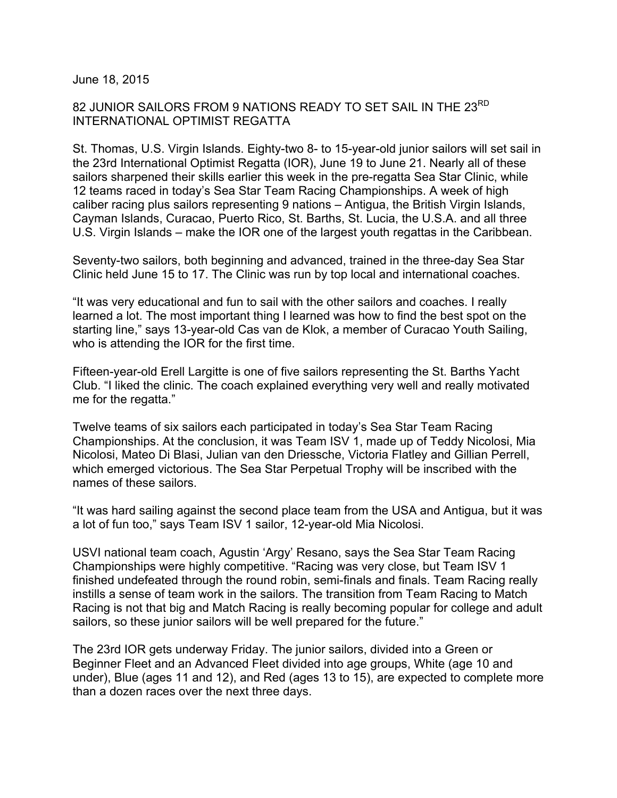June 18, 2015

## 82 JUNIOR SAILORS FROM 9 NATIONS READY TO SET SAIL IN THE 23RD INTERNATIONAL OPTIMIST REGATTA

St. Thomas, U.S. Virgin Islands. Eighty-two 8- to 15-year-old junior sailors will set sail in the 23rd International Optimist Regatta (IOR), June 19 to June 21. Nearly all of these sailors sharpened their skills earlier this week in the pre-regatta Sea Star Clinic, while 12 teams raced in today's Sea Star Team Racing Championships. A week of high caliber racing plus sailors representing 9 nations – Antigua, the British Virgin Islands, Cayman Islands, Curacao, Puerto Rico, St. Barths, St. Lucia, the U.S.A. and all three U.S. Virgin Islands – make the IOR one of the largest youth regattas in the Caribbean.

Seventy-two sailors, both beginning and advanced, trained in the three-day Sea Star Clinic held June 15 to 17. The Clinic was run by top local and international coaches.

"It was very educational and fun to sail with the other sailors and coaches. I really learned a lot. The most important thing I learned was how to find the best spot on the starting line," says 13-year-old Cas van de Klok, a member of Curacao Youth Sailing, who is attending the IOR for the first time.

Fifteen-year-old Erell Largitte is one of five sailors representing the St. Barths Yacht Club. "I liked the clinic. The coach explained everything very well and really motivated me for the regatta."

Twelve teams of six sailors each participated in today's Sea Star Team Racing Championships. At the conclusion, it was Team ISV 1, made up of Teddy Nicolosi, Mia Nicolosi, Mateo Di Blasi, Julian van den Driessche, Victoria Flatley and Gillian Perrell, which emerged victorious. The Sea Star Perpetual Trophy will be inscribed with the names of these sailors.

"It was hard sailing against the second place team from the USA and Antigua, but it was a lot of fun too," says Team ISV 1 sailor, 12-year-old Mia Nicolosi.

USVI national team coach, Agustin 'Argy' Resano, says the Sea Star Team Racing Championships were highly competitive. "Racing was very close, but Team ISV 1 finished undefeated through the round robin, semi-finals and finals. Team Racing really instills a sense of team work in the sailors. The transition from Team Racing to Match Racing is not that big and Match Racing is really becoming popular for college and adult sailors, so these junior sailors will be well prepared for the future."

The 23rd IOR gets underway Friday. The junior sailors, divided into a Green or Beginner Fleet and an Advanced Fleet divided into age groups, White (age 10 and under), Blue (ages 11 and 12), and Red (ages 13 to 15), are expected to complete more than a dozen races over the next three days.